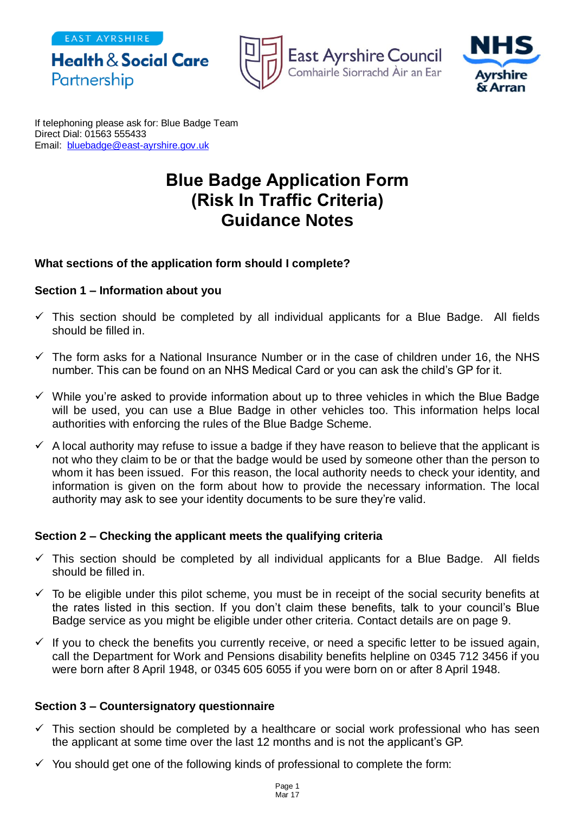EAST AYRSHIRE







If telephoning please ask for: Blue Badge Team Direct Dial: 01563 555433 Email: [bluebadge@east-ayrshire.gov.uk](mailto:bluebadge@east-ayrshire.gov.uk)

# **Blue Badge Application Form (Risk In Traffic Criteria) Guidance Notes**

### **What sections of the application form should I complete?**

#### **Section 1 – Information about you**

- $\checkmark$  This section should be completed by all individual applicants for a Blue Badge. All fields should be filled in.
- $\checkmark$  The form asks for a National Insurance Number or in the case of children under 16, the NHS number. This can be found on an NHS Medical Card or you can ask the child's GP for it.
- $\checkmark$  While you're asked to provide information about up to three vehicles in which the Blue Badge will be used, you can use a Blue Badge in other vehicles too. This information helps local authorities with enforcing the rules of the Blue Badge Scheme.
- $\checkmark$  A local authority may refuse to issue a badge if they have reason to believe that the applicant is not who they claim to be or that the badge would be used by someone other than the person to whom it has been issued. For this reason, the local authority needs to check your identity, and information is given on the form about how to provide the necessary information. The local authority may ask to see your identity documents to be sure they're valid.

#### **Section 2 – Checking the applicant meets the qualifying criteria**

- $\checkmark$  This section should be completed by all individual applicants for a Blue Badge. All fields should be filled in.
- $\checkmark$  To be eligible under this pilot scheme, you must be in receipt of the social security benefits at the rates listed in this section. If you don't claim these benefits, talk to your council's Blue Badge service as you might be eligible under other criteria. Contact details are on page 9.
- $\checkmark$  If you to check the benefits you currently receive, or need a specific letter to be issued again, call the Department for Work and Pensions disability benefits helpline on 0345 712 3456 if you were born after 8 April 1948, or 0345 605 6055 if you were born on or after 8 April 1948.

## **Section 3 – Countersignatory questionnaire**

- $\checkmark$  This section should be completed by a healthcare or social work professional who has seen the applicant at some time over the last 12 months and is not the applicant's GP.
- $\checkmark$  You should get one of the following kinds of professional to complete the form: